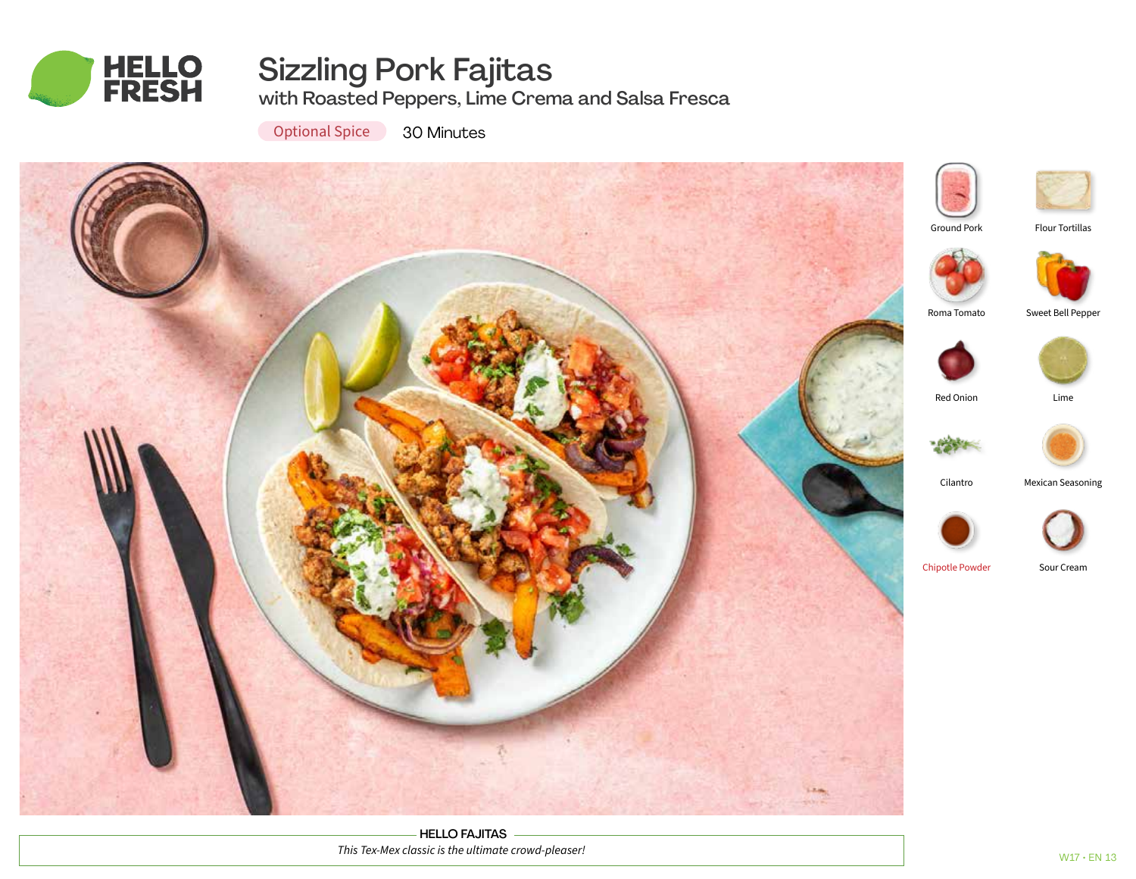

# Sizzling Pork Fajitas

with Roasted Peppers, Lime Crema and Salsa Fresca

**Optional Spice** 30 Minutes



HELLO FAJITAS *This Tex-Mex classic is the ultimate crowd-pleaser!*